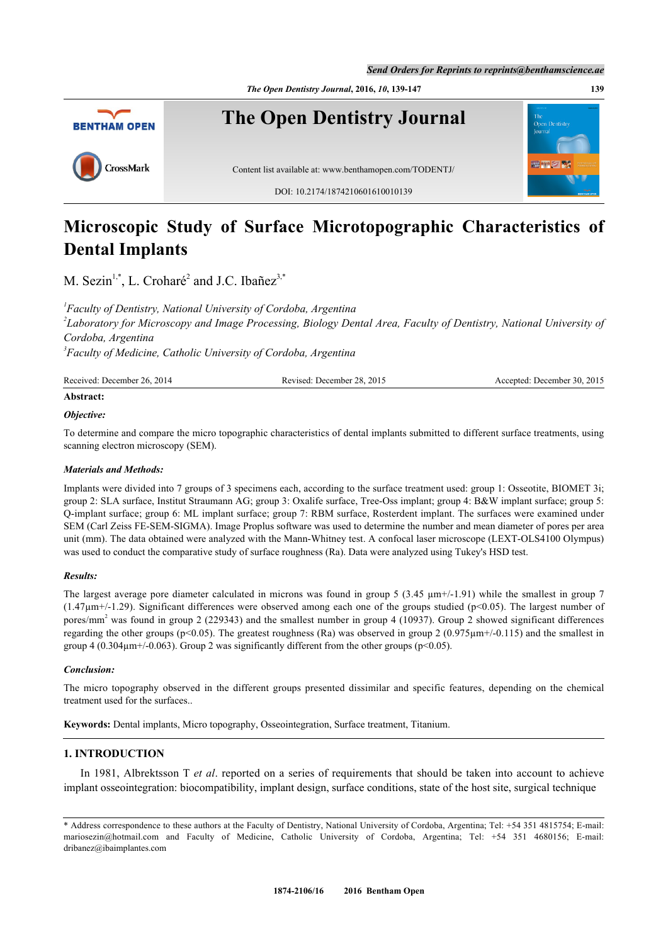

# **Microscopic Study of Surface Microtopographic Characteristics of Dental Implants**

M. Sezin<sup>[1](#page-0-0),[\\*](#page-0-1)</sup>, L. Croharé<sup>[2](#page-0-2)</sup> and J.C. Ibañez<sup>[3](#page-0-3)[,\\*](#page-0-1)</sup>

<span id="page-0-2"></span><span id="page-0-0"></span> *Faculty of Dentistry, National University of Cordoba, Argentina Laboratory for Microscopy and Image Processing, Biology Dental Area, Faculty of Dentistry, National University of Cordoba, Argentina Faculty of Medicine, Catholic University of Cordoba, Argentina*

<span id="page-0-3"></span>

| Received: December 26, 2014 | Revised: December 28, 2015 | Accepted: December 30, 2015 |
|-----------------------------|----------------------------|-----------------------------|
| Abstract:                   |                            |                             |

# *Objective:*

To determine and compare the micro topographic characteristics of dental implants submitted to different surface treatments, using scanning electron microscopy (SEM).

#### *Materials and Methods:*

Implants were divided into 7 groups of 3 specimens each, according to the surface treatment used: group 1: Osseotite, BIOMET 3i; group 2: SLA surface, Institut Straumann AG; group 3: Oxalife surface, Tree-Oss implant; group 4: B&W implant surface; group 5: Q-implant surface; group 6: ML implant surface; group 7: RBM surface, Rosterdent implant. The surfaces were examined under SEM (Carl Zeiss FE-SEM-SIGMA). Image Proplus software was used to determine the number and mean diameter of pores per area unit (mm). The data obtained were analyzed with the Mann-Whitney test. A confocal laser microscope (LEXT-OLS4100 Olympus) was used to conduct the comparative study of surface roughness (Ra). Data were analyzed using Tukey's HSD test.

### *Results:*

The largest average pore diameter calculated in microns was found in group 5 (3.45  $\mu$ m+/-1.91) while the smallest in group 7  $(1.47\mu m+/-1.29)$ . Significant differences were observed among each one of the groups studied (p<0.05). The largest number of pores/mm<sup>2</sup> was found in group 2 (229343) and the smallest number in group 4 (10937). Group 2 showed significant differences regarding the other groups ( $p \le 0.05$ ). The greatest roughness (Ra) was observed in group 2 (0.975 $\mu$ m+/-0.115) and the smallest in group 4 (0.304 $\mu$ m+/-0.063). Group 2 was significantly different from the other groups (p<0.05).

### *Conclusion:*

The micro topography observed in the different groups presented dissimilar and specific features, depending on the chemical treatment used for the surfaces..

**Keywords:** Dental implants, Micro topography, Osseointegration, Surface treatment, Titanium.

# **1. INTRODUCTION**

In 1981, Albrektsson T *et al*. reported on a series of requirements that should be taken into account to achieve implant osseointegration: biocompatibility, implant design, surface conditions, state of the host site, surgical technique

<span id="page-0-1"></span><sup>\*</sup> Address correspondence to these authors at the Faculty of Dentistry, National University of Cordoba, Argentina; Tel: +54 351 4815754; E-mail: [mariosezin@hotmail.com](mailto:mariosezin@hotmail.com) and Faculty of Medicine, Catholic University of Cordoba, Argentina; Tel: +54 351 4680156; E-mail: [dribanez@ibaimplantes.com](mailto:dribanez@ibaimplantes.com)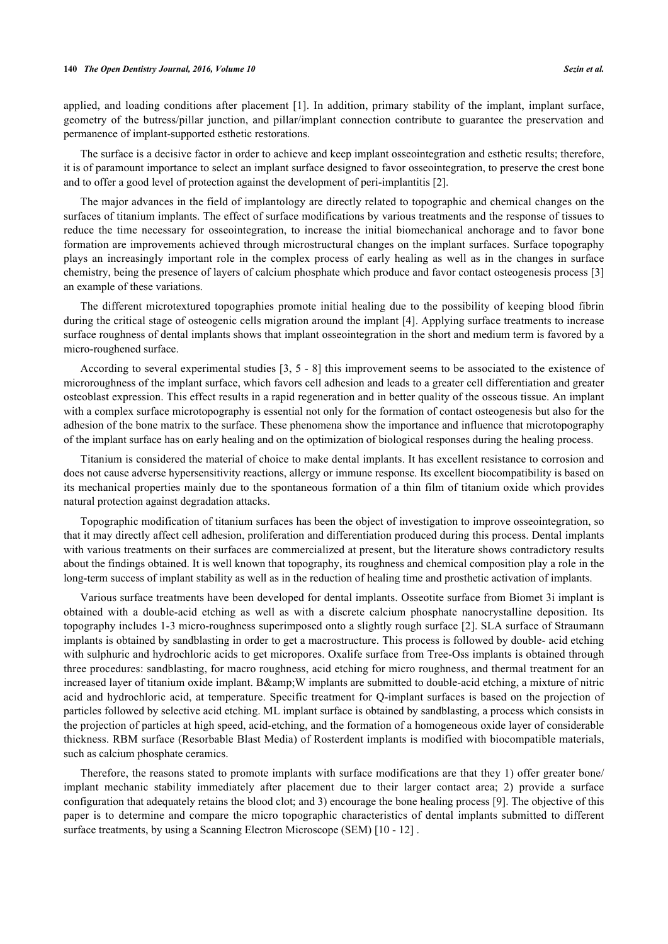applied, and loading conditions after placement [[1\]](#page-6-0). In addition, primary stability of the implant, implant surface, geometry of the butress/pillar junction, and pillar/implant connection contribute to guarantee the preservation and permanence of implant-supported esthetic restorations.

The surface is a decisive factor in order to achieve and keep implant osseointegration and esthetic results; therefore, it is of paramount importance to select an implant surface designed to favor osseointegration, to preserve the crest bone and to offer a good level of protection against the development of peri-implantitis [\[2](#page-6-1)].

The major advances in the field of implantology are directly related to topographic and chemical changes on the surfaces of titanium implants. The effect of surface modifications by various treatments and the response of tissues to reduce the time necessary for osseointegration, to increase the initial biomechanical anchorage and to favor bone formation are improvements achieved through microstructural changes on the implant surfaces. Surface topography plays an increasingly important role in the complex process of early healing as well as in the changes in surface chemistry, being the presence of layers of calcium phosphate which produce and favor contact osteogenesis process [\[3](#page-6-2)] an example of these variations.

The different microtextured topographies promote initial healing due to the possibility of keeping blood fibrin during the critical stage of osteogenic cells migration around the implant [[4\]](#page-6-3). Applying surface treatments to increase surface roughness of dental implants shows that implant osseointegration in the short and medium term is favored by a micro-roughened surface.

According to several experimental studies [[3,](#page-6-2) [5](#page-6-4) - [8](#page-6-5)] this improvement seems to be associated to the existence of microroughness of the implant surface, which favors cell adhesion and leads to a greater cell differentiation and greater osteoblast expression. This effect results in a rapid regeneration and in better quality of the osseous tissue. An implant with a complex surface microtopography is essential not only for the formation of contact osteogenesis but also for the adhesion of the bone matrix to the surface. These phenomena show the importance and influence that microtopography of the implant surface has on early healing and on the optimization of biological responses during the healing process.

Titanium is considered the material of choice to make dental implants. It has excellent resistance to corrosion and does not cause adverse hypersensitivity reactions, allergy or immune response. Its excellent biocompatibility is based on its mechanical properties mainly due to the spontaneous formation of a thin film of titanium oxide which provides natural protection against degradation attacks.

Topographic modification of titanium surfaces has been the object of investigation to improve osseointegration, so that it may directly affect cell adhesion, proliferation and differentiation produced during this process. Dental implants with various treatments on their surfaces are commercialized at present, but the literature shows contradictory results about the findings obtained. It is well known that topography, its roughness and chemical composition play a role in the long-term success of implant stability as well as in the reduction of healing time and prosthetic activation of implants.

Various surface treatments have been developed for dental implants. Osseotite surface from Biomet 3i implant is obtained with a double-acid etching as well as with a discrete calcium phosphate nanocrystalline deposition. Its topography includes 1-3 micro-roughness superimposed onto a slightly rough surface [[2\]](#page-6-1). SLA surface of Straumann implants is obtained by sandblasting in order to get a macrostructure. This process is followed by double- acid etching with sulphuric and hydrochloric acids to get micropores. Oxalife surface from Tree-Oss implants is obtained through three procedures: sandblasting, for macro roughness, acid etching for micro roughness, and thermal treatment for an increased layer of titanium oxide implant. B& W implants are submitted to double-acid etching, a mixture of nitric acid and hydrochloric acid, at temperature. Specific treatment for Q-implant surfaces is based on the projection of particles followed by selective acid etching. ML implant surface is obtained by sandblasting, a process which consists in the projection of particles at high speed, acid-etching, and the formation of a homogeneous oxide layer of considerable thickness. RBM surface (Resorbable Blast Media) of Rosterdent implants is modified with biocompatible materials, such as calcium phosphate ceramics.

Therefore, the reasons stated to promote implants with surface modifications are that they 1) offer greater bone/ implant mechanic stability immediately after placement due to their larger contact area; 2) provide a surface configuration that adequately retains the blood clot; and 3) encourage the bone healing process [[9\]](#page-7-0). The objective of this paper is to determine and compare the micro topographic characteristics of dental implants submitted to different surface treatments, by using a Scanning Electron Microscope (SEM) [\[10](#page-7-1) - [12\]](#page-7-2) .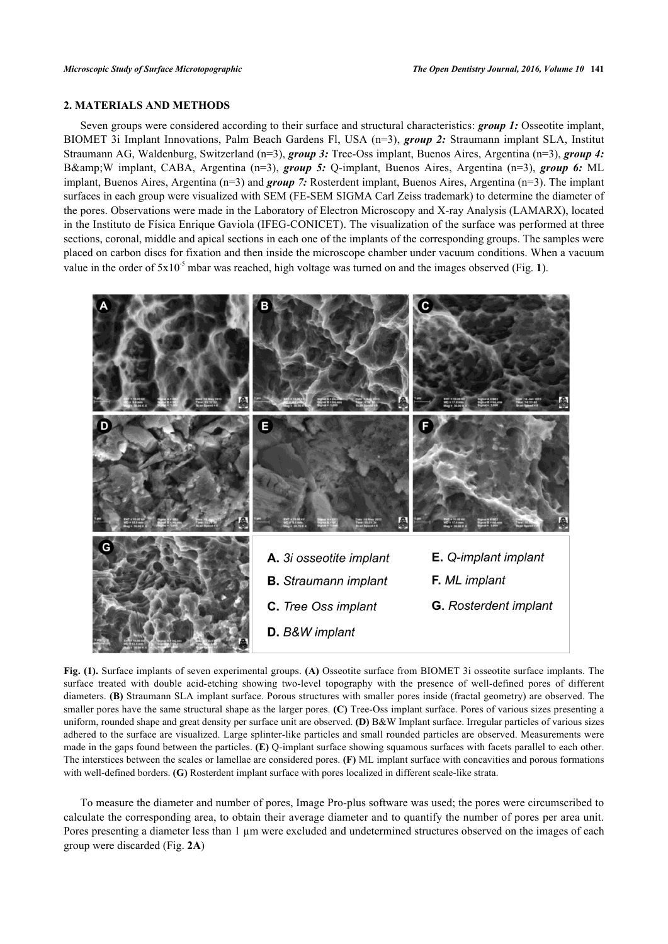# **2. MATERIALS AND METHODS**

Seven groups were considered according to their surface and structural characteristics: *group 1:* Osseotite implant, BIOMET 3i Implant Innovations, Palm Beach Gardens Fl, USA (n=3), *group 2:* Straumann implant SLA, Institut Straumann AG, Waldenburg, Switzerland (n=3), *group 3:* Tree-Oss implant, Buenos Aires, Argentina (n=3), *group 4:* B& W implant, CABA, Argentina (n=3), **group 5:** Q-implant, Buenos Aires, Argentina (n=3), **group 6:** ML implant, Buenos Aires, Argentina (n=3) and *group 7:* Rosterdent implant, Buenos Aires, Argentina (n=3). The implant surfaces in each group were visualized with SEM (FE-SEM SIGMA Carl Zeiss trademark) to determine the diameter of the pores. Observations were made in the Laboratory of Electron Microscopy and X-ray Analysis (LAMARX), located in the Instituto de Física Enrique Gaviola (IFEG-CONICET). The visualization of the surface was performed at three sections, coronal, middle and apical sections in each one of the implants of the corresponding groups. The samples were placed on carbon discs for fixation and then inside the microscope chamber under vacuum conditions. When a vacuum value in the order of  $5x10^{-5}$  $5x10^{-5}$  $5x10^{-5}$  mbar was reached, high voltage was turned on and the images observed (Fig. 1).

<span id="page-2-0"></span>

**Fig. (1).** Surface implants of seven experimental groups. **(A)** Osseotite surface from BIOMET 3i osseotite surface implants. The surface treated with double acid-etching showing two-level topography with the presence of well-defined pores of different diameters. **(B)** Straumann SLA implant surface. Porous structures with smaller pores inside (fractal geometry) are observed. The smaller pores have the same structural shape as the larger pores. **(C)** Tree-Oss implant surface. Pores of various sizes presenting a uniform, rounded shape and great density per surface unit are observed. **(D)** B&W Implant surface. Irregular particles of various sizes adhered to the surface are visualized. Large splinter-like particles and small rounded particles are observed. Measurements were made in the gaps found between the particles. **(E)** Q-implant surface showing squamous surfaces with facets parallel to each other. The interstices between the scales or lamellae are considered pores. **(F)** ML implant surface with concavities and porous formations with well-defined borders. **(G)** Rosterdent implant surface with pores localized in different scale-like strata.

To measure the diameter and number of pores, Image Pro-plus software was used; the pores were circumscribed to calculate the corresponding area, to obtain their average diameter and to quantify the number of pores per area unit. Pores presenting a diameter less than 1 µm were excluded and undetermined structures observed on the images of each group were discarded (Fig. **[2A](#page-3-0)**)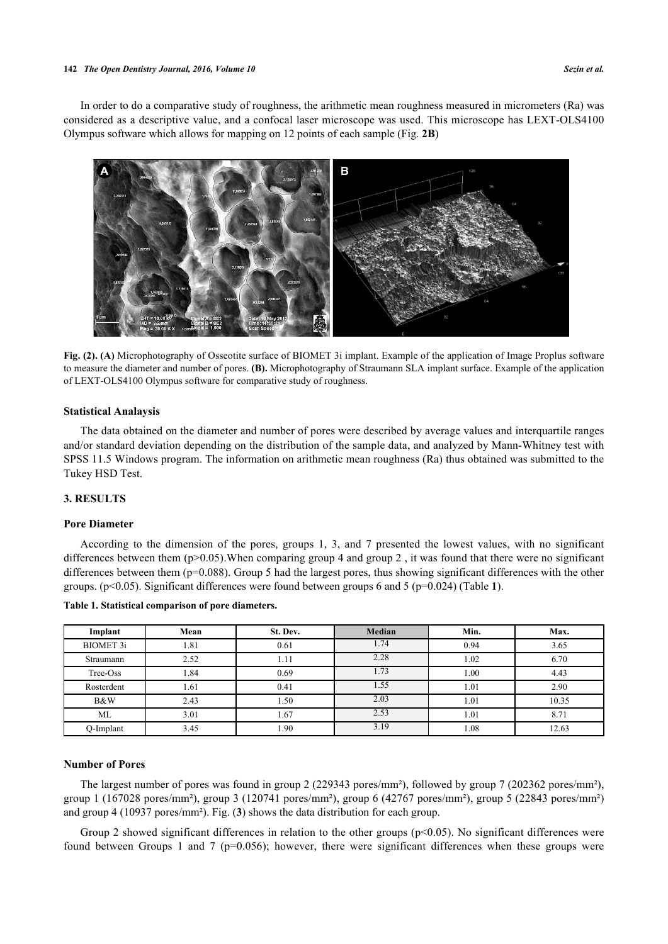#### **142** *The Open Dentistry Journal, 2016, Volume 10 Sezin et al.*

In order to do a comparative study of roughness, the arithmetic mean roughness measured in micrometers (Ra) was considered as a descriptive value, and a confocal laser microscope was used. This microscope has LEXT-OLS4100 Olympus software which allows for mapping on 12 points of each sample (Fig. **[2B](#page-3-0)**)

<span id="page-3-0"></span>

**Fig. (2). (A)** Microphotography of Osseotite surface of BIOMET 3i implant. Example of the application of Image Proplus software to measure the diameter and number of pores. **(B).** Microphotography of Straumann SLA implant surface. Example of the application of LEXT-OLS4100 Olympus software for comparative study of roughness.

### **Statistical Analaysis**

The data obtained on the diameter and number of pores were described by average values and interquartile ranges and/or standard deviation depending on the distribution of the sample data, and analyzed by Mann-Whitney test with SPSS 11.5 Windows program. The information on arithmetic mean roughness (Ra) thus obtained was submitted to the Tukey HSD Test.

# **3. RESULTS**

#### **Pore Diameter**

According to the dimension of the pores, groups 1, 3, and 7 presented the lowest values, with no significant differences between them  $(p>0.05)$ . When comparing group 4 and group 2, it was found that there were no significant differences between them (p=0.088). Group 5 had the largest pores, thus showing significant differences with the other groups. (p<0.05). Significant differences were found between groups 6 and 5 (p=0.024) (Table **[1](#page-3-1)**).

| Implant          | Mean | St. Dev. | <b>Median</b> | Min. | Max.  |
|------------------|------|----------|---------------|------|-------|
| <b>BIOMET 3i</b> | 1.81 | 0.61     | 1.74          | 0.94 | 3.65  |
| Straumann        | 2.52 | 1.11     | 2.28          | 1.02 | 6.70  |
| Tree-Oss         | .84  | 0.69     | 1.73          | 00.1 | 4.43  |
| Rosterdent       | 1.61 | 0.41     | 1.55          | 1.01 | 2.90  |
| B&W              | 2.43 | 1.50     | 2.03          | 1.01 | 10.35 |
| ML               | 3.01 | 1.67     | 2.53          | 1.01 | 8.71  |
| O-Implant        | 3.45 | 1.90     | 3.19          | 1.08 | 12.63 |

#### <span id="page-3-1"></span>**Table 1. Statistical comparison of pore diameters.**

### **Number of Pores**

The largest number of pores was found in group 2 (229343 pores/mm²), followed by group 7 (202362 pores/mm²), group 1 (167028 pores/mm²), group 3 (120741 pores/mm²), group 6 (42767 pores/mm²), group 5 (22843 pores/mm²) and group 4 (10937 pores/mm²). Fig. (**[3](#page-4-0)**) shows the data distribution for each group.

Group 2 showed significant differences in relation to the other groups ( $p<0.05$ ). No significant differences were found between Groups 1 and 7 ( $p=0.056$ ); however, there were significant differences when these groups were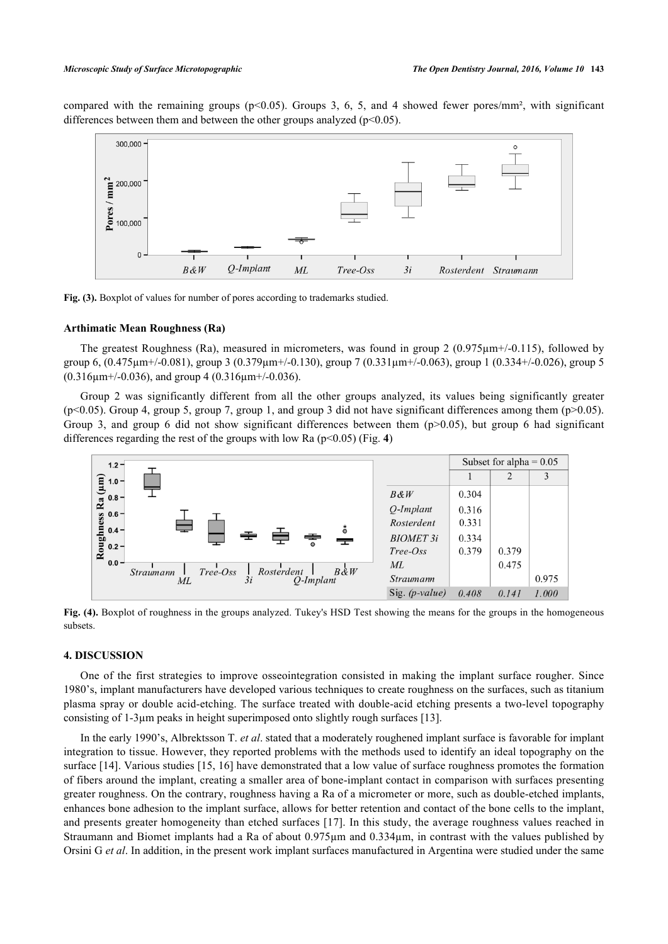<span id="page-4-0"></span>compared with the remaining groups (p<0.05). Groups 3, 6, 5, and 4 showed fewer pores/mm<sup>2</sup>, with significant differences between them and between the other groups analyzed  $(p<0.05)$ .



**Fig. (3).** Boxplot of values for number of pores according to trademarks studied.

#### **Arthimatic Mean Roughness (Ra)**

The greatest Roughness (Ra), measured in micrometers, was found in group 2 (0.975µm+/-0.115), followed by group 6,  $(0.475 \mu m + (-0.081))$ , group 3  $(0.379 \mu m + (-0.130))$ , group 7  $(0.331 \mu m + (-0.063))$ , group 1  $(0.334 + (-0.026))$ , group 5  $(0.316\mu m$ +/-0.036), and group 4 (0.316 $\mu$ m+/-0.036).

Group 2 was significantly different from all the other groups analyzed, its values being significantly greater  $(p<0.05)$ . Group 4, group 5, group 7, group 1, and group 3 did not have significant differences among them  $(p>0.05)$ . Group 3, and group 6 did not show significant differences between them  $(p>0.05)$ , but group 6 had significant differences regarding the rest of the groups with low Ra (p<0.05) (Fig. **[4](#page-4-1)**)

<span id="page-4-1"></span>

**Fig. (4).** Boxplot of roughness in the groups analyzed. Tukey's HSD Test showing the means for the groups in the homogeneous subsets.

#### **4. DISCUSSION**

One of the first strategies to improve osseointegration consisted in making the implant surface rougher. Since 1980's, implant manufacturers have developed various techniques to create roughness on the surfaces, such as titanium plasma spray or double acid-etching. The surface treated with double-acid etching presents a two-level topography consisting of 1-3µm peaks in height superimposed onto slightly rough surfaces [\[13](#page-7-3)].

In the early 1990's, Albrektsson T. *et al*. stated that a moderately roughened implant surface is favorable for implant integration to tissue. However, they reported problems with the methods used to identify an ideal topography on the surface [[14](#page-7-4)]. Various studies [\[15](#page-7-5), [16\]](#page-7-6) have demonstrated that a low value of surface roughness promotes the formation of fibers around the implant, creating a smaller area of bone-implant contact in comparison with surfaces presenting greater roughness. On the contrary, roughness having a Ra of a micrometer or more, such as double-etched implants, enhances bone adhesion to the implant surface, allows for better retention and contact of the bone cells to the implant, and presents greater homogeneity than etched surfaces [[17](#page-7-7)]. In this study, the average roughness values reached in Straumann and Biomet implants had a Ra of about 0.975µm and 0.334µm, in contrast with the values published by Orsini G *et al*. In addition, in the present work implant surfaces manufactured in Argentina were studied under the same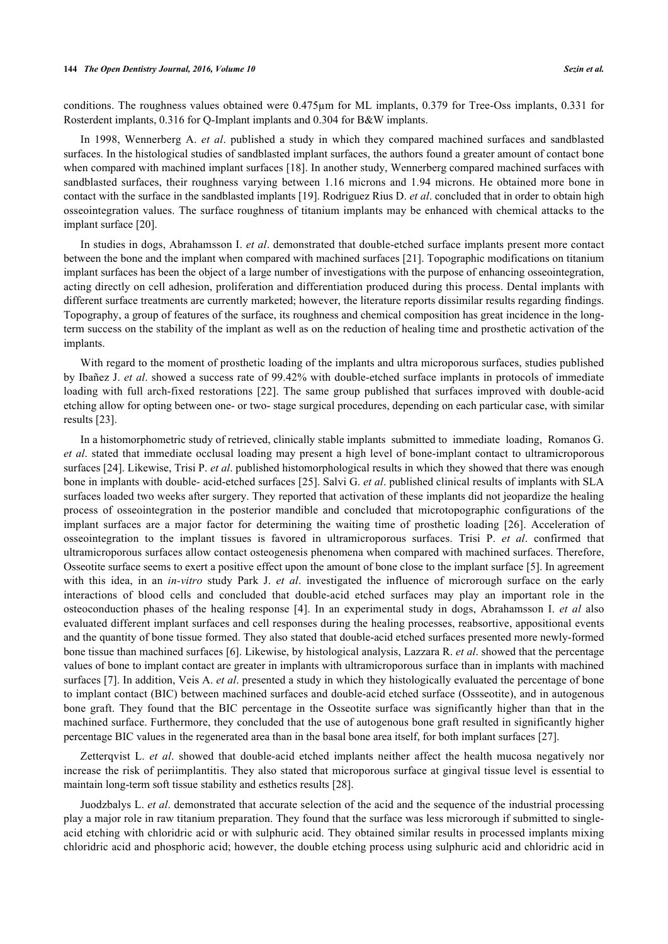conditions. The roughness values obtained were 0.475µm for ML implants, 0.379 for Tree-Oss implants, 0.331 for Rosterdent implants, 0.316 for Q-Implant implants and 0.304 for B&W implants.

In 1998, Wennerberg A. *et al*. published a study in which they compared machined surfaces and sandblasted surfaces. In the histological studies of sandblasted implant surfaces, the authors found a greater amount of contact bone when compared with machined implant surfaces [[18\]](#page-7-8). In another study, Wennerberg compared machined surfaces with sandblasted surfaces, their roughness varying between 1.16 microns and 1.94 microns. He obtained more bone in contact with the surface in the sandblasted implants [\[19](#page-7-9)]. Rodriguez Rius D. *et al*. concluded that in order to obtain high osseointegration values. The surface roughness of titanium implants may be enhanced with chemical attacks to the implant surface [\[20](#page-7-10)].

In studies in dogs, Abrahamsson I. *et al*. demonstrated that double-etched surface implants present more contact between the bone and the implant when compared with machined surfaces [\[21](#page-7-11)]. Topographic modifications on titanium implant surfaces has been the object of a large number of investigations with the purpose of enhancing osseointegration, acting directly on cell adhesion, proliferation and differentiation produced during this process. Dental implants with different surface treatments are currently marketed; however, the literature reports dissimilar results regarding findings. Topography, a group of features of the surface, its roughness and chemical composition has great incidence in the longterm success on the stability of the implant as well as on the reduction of healing time and prosthetic activation of the implants.

With regard to the moment of prosthetic loading of the implants and ultra microporous surfaces, studies published by Ibañez J. *et al*. showed a success rate of 99.42% with double-etched surface implants in protocols of immediate loading with full arch-fixed restorations[[22\]](#page-7-12). The same group published that surfaces improved with double-acid etching allow for opting between one- or two- stage surgical procedures, depending on each particular case, with similar results [[23\]](#page-7-13).

In a histomorphometric study of retrieved, clinically stable implants submitted to immediate loading, Romanos G. *et al*. stated that immediate occlusal loading may present a high level of bone-implant contact to ultramicroporous surfaces [\[24](#page-7-14)]. Likewise, Trisi P. *et al*. published histomorphological results in which they showed that there was enough bone in implants with double- acid-etched surfaces [\[25\]](#page-7-15). Salvi G. *et al*. published clinical results of implants with SLA surfaces loaded two weeks after surgery. They reported that activation of these implants did not jeopardize the healing process of osseointegration in the posterior mandible and concluded that microtopographic configurations of the implant surfaces are a major factor for determining the waiting time of prosthetic loading[[26](#page-7-16)]. Acceleration of osseointegration to the implant tissues is favored in ultramicroporous surfaces. Trisi P. *et al*. confirmed that ultramicroporous surfaces allow contact osteogenesis phenomena when compared with machined surfaces. Therefore, Osseotite surface seems to exert a positive effect upon the amount of bone close to the implant surface [[5\]](#page-6-4). In agreement with this idea, in an *in-vitro* study Park J. *et al*. investigated the influence of microrough surface on the early interactions of blood cells and concluded that double-acid etched surfaces may play an important role in the osteoconduction phases of the healing response[[4\]](#page-6-3). In an experimental study in dogs, Abrahamsson I. *et al* also evaluated different implant surfaces and cell responses during the healing processes, reabsortive, appositional events and the quantity of bone tissue formed. They also stated that double-acid etched surfaces presented more newly-formed bone tissue than machined surfaces [[6\]](#page-6-6). Likewise, by histological analysis, Lazzara R. *et al*. showed that the percentage values of bone to implant contact are greater in implants with ultramicroporous surface than in implants with machined surfaces [[7\]](#page-6-7). In addition, Veis A. *et al*. presented a study in which they histologically evaluated the percentage of bone to implant contact (BIC) between machined surfaces and double-acid etched surface (Ossseotite), and in autogenous bone graft. They found that the BIC percentage in the Osseotite surface was significantly higher than that in the machined surface. Furthermore, they concluded that the use of autogenous bone graft resulted in significantly higher percentage BIC values in the regenerated area than in the basal bone area itself, for both implant surfaces [[27\]](#page-7-17).

Zetterqvist L. *et al*. showed that double-acid etched implants neither affect the health mucosa negatively nor increase the risk of periimplantitis. They also stated that microporous surface at gingival tissue level is essential to maintain long-term soft tissue stability and esthetics results [\[28](#page-7-18)].

Juodzbalys L. *et al*. demonstrated that accurate selection of the acid and the sequence of the industrial processing play a major role in raw titanium preparation. They found that the surface was less microrough if submitted to singleacid etching with chloridric acid or with sulphuric acid. They obtained similar results in processed implants mixing chloridric acid and phosphoric acid; however, the double etching process using sulphuric acid and chloridric acid in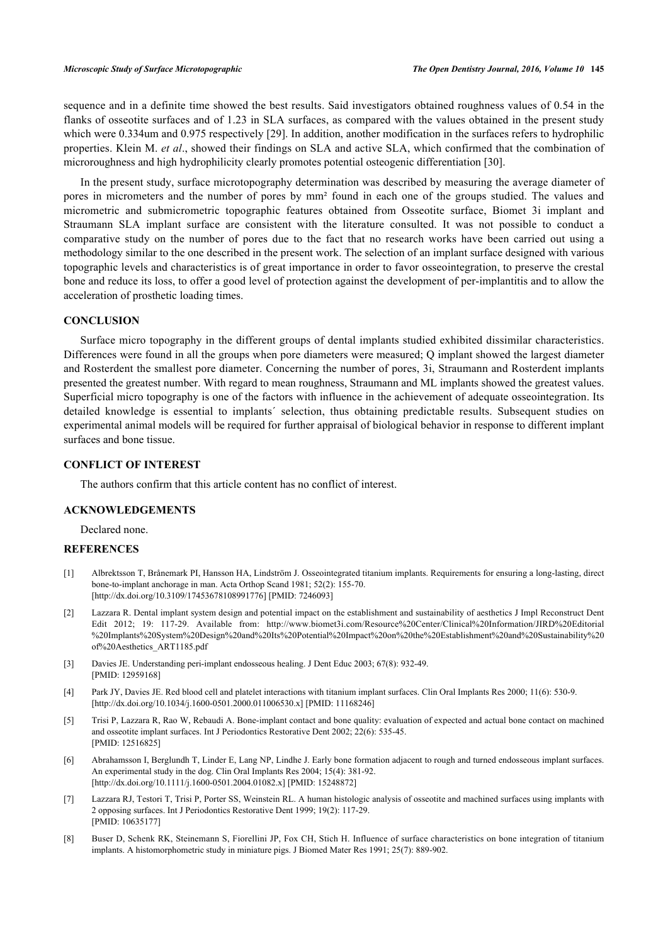sequence and in a definite time showed the best results. Said investigators obtained roughness values of 0.54 in the flanks of osseotite surfaces and of 1.23 in SLA surfaces, as compared with the values obtained in the present study which were 0.334um and 0.975 respectively [[29](#page-7-19)]. In addition, another modification in the surfaces refers to hydrophilic properties. Klein M. *et al*., showed their findings on SLA and active SLA, which confirmed that the combination of microroughness and high hydrophilicity clearly promotes potential osteogenic differentiation [[30\]](#page-8-0).

In the present study, surface microtopography determination was described by measuring the average diameter of pores in micrometers and the number of pores by mm² found in each one of the groups studied. The values and micrometric and submicrometric topographic features obtained from Osseotite surface, Biomet 3i implant and Straumann SLA implant surface are consistent with the literature consulted. It was not possible to conduct a comparative study on the number of pores due to the fact that no research works have been carried out using a methodology similar to the one described in the present work. The selection of an implant surface designed with various topographic levels and characteristics is of great importance in order to favor osseointegration, to preserve the crestal bone and reduce its loss, to offer a good level of protection against the development of per-implantitis and to allow the acceleration of prosthetic loading times.

# **CONCLUSION**

Surface micro topography in the different groups of dental implants studied exhibited dissimilar characteristics. Differences were found in all the groups when pore diameters were measured; Q implant showed the largest diameter and Rosterdent the smallest pore diameter. Concerning the number of pores, 3i, Straumann and Rosterdent implants presented the greatest number. With regard to mean roughness, Straumann and ML implants showed the greatest values. Superficial micro topography is one of the factors with influence in the achievement of adequate osseointegration. Its detailed knowledge is essential to implants´ selection, thus obtaining predictable results. Subsequent studies on experimental animal models will be required for further appraisal of biological behavior in response to different implant surfaces and bone tissue.

# **CONFLICT OF INTEREST**

The authors confirm that this article content has no conflict of interest.

# **ACKNOWLEDGEMENTS**

Declared none.

# **REFERENCES**

- <span id="page-6-0"></span>[1] Albrektsson T, Brånemark PI, Hansson HA, Lindström J. Osseointegrated titanium implants. Requirements for ensuring a long-lasting, direct bone-to-implant anchorage in man. Acta Orthop Scand 1981; 52(2): 155-70. [\[http://dx.doi.org/10.3109/17453678108991776\]](http://dx.doi.org/10.3109/17453678108991776) [PMID: [7246093](http://www.ncbi.nlm.nih.gov/pubmed/7246093)]
- <span id="page-6-1"></span>[2] Lazzara R. Dental implant system design and potential impact on the establishment and sustainability of aesthetics J Impl Reconstruct Dent Edit 2012; 19: 117-29. Available from: [http://www.biomet3i.com/Resource%20Center/Clinical%20Information/JIRD%20Editorial](http://www.biomet3i.com/Resource%20Center/Clinical%20Information/JIRD%20Editorial%20Implants%20System%20Design%20and%20Its%20Potential%20Impact%20on%20the%20Establishment%20and%20Sustainability%20of%20Aesthetics_ART1185.pdf) [%20Implants%20System%20Design%20and%20Its%20Potential%20Impact%20on%20the%20Establishment%20and%20Sustainability%20](http://www.biomet3i.com/Resource%20Center/Clinical%20Information/JIRD%20Editorial%20Implants%20System%20Design%20and%20Its%20Potential%20Impact%20on%20the%20Establishment%20and%20Sustainability%20of%20Aesthetics_ART1185.pdf) [of%20Aesthetics\\_ART1185.pdf](http://www.biomet3i.com/Resource%20Center/Clinical%20Information/JIRD%20Editorial%20Implants%20System%20Design%20and%20Its%20Potential%20Impact%20on%20the%20Establishment%20and%20Sustainability%20of%20Aesthetics_ART1185.pdf)
- <span id="page-6-2"></span>[3] Davies JE. Understanding peri-implant endosseous healing. J Dent Educ 2003; 67(8): 932-49. [PMID: [12959168\]](http://www.ncbi.nlm.nih.gov/pubmed/12959168)
- <span id="page-6-3"></span>[4] Park JY, Davies JE. Red blood cell and platelet interactions with titanium implant surfaces. Clin Oral Implants Res 2000; 11(6): 530-9. [\[http://dx.doi.org/10.1034/j.1600-0501.2000.011006530.x\]](http://dx.doi.org/10.1034/j.1600-0501.2000.011006530.x) [PMID: [11168246](http://www.ncbi.nlm.nih.gov/pubmed/11168246)]
- <span id="page-6-4"></span>[5] Trisi P, Lazzara R, Rao W, Rebaudi A. Bone-implant contact and bone quality: evaluation of expected and actual bone contact on machined and osseotite implant surfaces. Int J Periodontics Restorative Dent 2002; 22(6): 535-45. [PMID: [12516825\]](http://www.ncbi.nlm.nih.gov/pubmed/12516825)
- <span id="page-6-6"></span>[6] Abrahamsson I, Berglundh T, Linder E, Lang NP, Lindhe J. Early bone formation adjacent to rough and turned endosseous implant surfaces. An experimental study in the dog. Clin Oral Implants Res 2004; 15(4): 381-92. [\[http://dx.doi.org/10.1111/j.1600-0501.2004.01082.x\]](http://dx.doi.org/10.1111/j.1600-0501.2004.01082.x) [PMID: [15248872](http://www.ncbi.nlm.nih.gov/pubmed/15248872)]
- <span id="page-6-7"></span>[7] Lazzara RJ, Testori T, Trisi P, Porter SS, Weinstein RL. A human histologic analysis of osseotite and machined surfaces using implants with 2 opposing surfaces. Int J Periodontics Restorative Dent 1999; 19(2): 117-29. [PMID: [10635177\]](http://www.ncbi.nlm.nih.gov/pubmed/10635177)
- <span id="page-6-5"></span>[8] Buser D, Schenk RK, Steinemann S, Fiorellini JP, Fox CH, Stich H. Influence of surface characteristics on bone integration of titanium implants. A histomorphometric study in miniature pigs. J Biomed Mater Res 1991; 25(7): 889-902.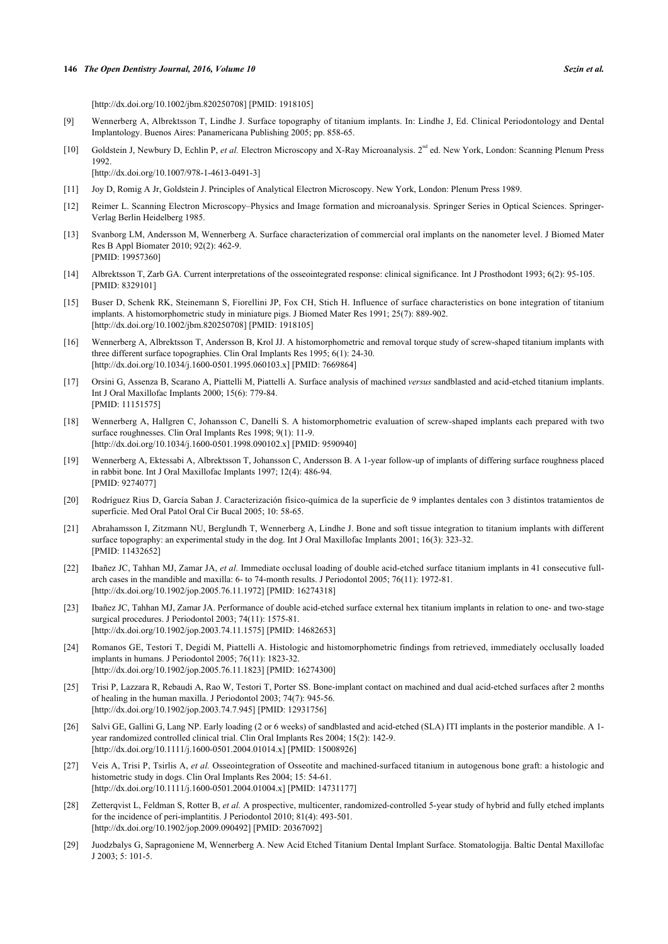[\[http://dx.doi.org/10.1002/jbm.820250708](http://dx.doi.org/10.1002/jbm.820250708)] [PMID: [1918105\]](http://www.ncbi.nlm.nih.gov/pubmed/1918105)

- <span id="page-7-0"></span>[9] Wennerberg A, Albrektsson T, Lindhe J. Surface topography of titanium implants. In: Lindhe J, Ed. Clinical Periodontology and Dental Implantology. Buenos Aires: Panamericana Publishing 2005; pp. 858-65.
- <span id="page-7-1"></span>[10] Goldstein J, Newbury D, Echlin P, *et al.* Electron Microscopy and X-Ray Microanalysis. 2<sup>nd</sup> ed. New York, London: Scanning Plenum Press 1992.

[\[http://dx.doi.org/10.1007/978-1-4613-0491-3](http://dx.doi.org/10.1007/978-1-4613-0491-3)]

- [11] Joy D, Romig A Jr, Goldstein J. Principles of Analytical Electron Microscopy. New York, London: Plenum Press 1989.
- <span id="page-7-2"></span>[12] Reimer L. Scanning Electron Microscopy–Physics and Image formation and microanalysis. Springer Series in Optical Sciences. Springer-Verlag Berlin Heidelberg 1985.
- <span id="page-7-3"></span>[13] Svanborg LM, Andersson M, Wennerberg A. Surface characterization of commercial oral implants on the nanometer level. J Biomed Mater Res B Appl Biomater 2010; 92(2): 462-9. [PMID: [19957360\]](http://www.ncbi.nlm.nih.gov/pubmed/19957360)
- <span id="page-7-4"></span>[14] Albrektsson T, Zarb GA. Current interpretations of the osseointegrated response: clinical significance. Int J Prosthodont 1993; 6(2): 95-105. [PMID: [8329101\]](http://www.ncbi.nlm.nih.gov/pubmed/8329101)
- <span id="page-7-5"></span>[15] Buser D, Schenk RK, Steinemann S, Fiorellini JP, Fox CH, Stich H. Influence of surface characteristics on bone integration of titanium implants. A histomorphometric study in miniature pigs. J Biomed Mater Res 1991; 25(7): 889-902. [\[http://dx.doi.org/10.1002/jbm.820250708](http://dx.doi.org/10.1002/jbm.820250708)] [PMID: [1918105\]](http://www.ncbi.nlm.nih.gov/pubmed/1918105)
- <span id="page-7-6"></span>[16] Wennerberg A, Albrektsson T, Andersson B, Krol JJ. A histomorphometric and removal torque study of screw-shaped titanium implants with three different surface topographies. Clin Oral Implants Res 1995; 6(1): 24-30. [\[http://dx.doi.org/10.1034/j.1600-0501.1995.060103.x\]](http://dx.doi.org/10.1034/j.1600-0501.1995.060103.x) [PMID: [7669864](http://www.ncbi.nlm.nih.gov/pubmed/7669864)]
- <span id="page-7-7"></span>[17] Orsini G, Assenza B, Scarano A, Piattelli M, Piattelli A. Surface analysis of machined *versus* sandblasted and acid-etched titanium implants. Int J Oral Maxillofac Implants 2000; 15(6): 779-84. [PMID: [11151575\]](http://www.ncbi.nlm.nih.gov/pubmed/11151575)
- <span id="page-7-8"></span>[18] Wennerberg A, Hallgren C, Johansson C, Danelli S. A histomorphometric evaluation of screw-shaped implants each prepared with two surface roughnesses. Clin Oral Implants Res 1998; 9(1): 11-9. [\[http://dx.doi.org/10.1034/j.1600-0501.1998.090102.x\]](http://dx.doi.org/10.1034/j.1600-0501.1998.090102.x) [PMID: [9590940](http://www.ncbi.nlm.nih.gov/pubmed/9590940)]
- <span id="page-7-9"></span>[19] Wennerberg A, Ektessabi A, Albrektsson T, Johansson C, Andersson B. A 1-year follow-up of implants of differing surface roughness placed in rabbit bone. Int J Oral Maxillofac Implants 1997; 12(4): 486-94. [PMID: [9274077\]](http://www.ncbi.nlm.nih.gov/pubmed/9274077)
- <span id="page-7-10"></span>[20] Rodríguez Rius D, García Saban J. Caracterización físico-química de la superficie de 9 implantes dentales con 3 distintos tratamientos de superficie. Med Oral Patol Oral Cir Bucal 2005; 10: 58-65.
- <span id="page-7-11"></span>[21] Abrahamsson I, Zitzmann NU, Berglundh T, Wennerberg A, Lindhe J. Bone and soft tissue integration to titanium implants with different surface topography: an experimental study in the dog. Int J Oral Maxillofac Implants 2001; 16(3): 323-32. [PMID: [11432652\]](http://www.ncbi.nlm.nih.gov/pubmed/11432652)
- <span id="page-7-12"></span>[22] Ibañez JC, Tahhan MJ, Zamar JA, *et al.* Immediate occlusal loading of double acid-etched surface titanium implants in 41 consecutive fullarch cases in the mandible and maxilla: 6- to 74-month results. J Periodontol 2005; 76(11): 1972-81. [\[http://dx.doi.org/10.1902/jop.2005.76.11.1972](http://dx.doi.org/10.1902/jop.2005.76.11.1972)] [PMID: [16274318\]](http://www.ncbi.nlm.nih.gov/pubmed/16274318)
- <span id="page-7-13"></span>[23] Ibañez JC, Tahhan MJ, Zamar JA. Performance of double acid-etched surface external hex titanium implants in relation to one- and two-stage surgical procedures. J Periodontol 2003; 74(11): 1575-81. [\[http://dx.doi.org/10.1902/jop.2003.74.11.1575](http://dx.doi.org/10.1902/jop.2003.74.11.1575)] [PMID: [14682653\]](http://www.ncbi.nlm.nih.gov/pubmed/14682653)
- <span id="page-7-14"></span>[24] Romanos GE, Testori T, Degidi M, Piattelli A. Histologic and histomorphometric findings from retrieved, immediately occlusally loaded implants in humans. J Periodontol 2005; 76(11): 1823-32. [\[http://dx.doi.org/10.1902/jop.2005.76.11.1823](http://dx.doi.org/10.1902/jop.2005.76.11.1823)] [PMID: [16274300\]](http://www.ncbi.nlm.nih.gov/pubmed/16274300)
- <span id="page-7-15"></span>[25] Trisi P, Lazzara R, Rebaudi A, Rao W, Testori T, Porter SS. Bone-implant contact on machined and dual acid-etched surfaces after 2 months of healing in the human maxilla. J Periodontol 2003; 74(7): 945-56. [\[http://dx.doi.org/10.1902/jop.2003.74.7.945](http://dx.doi.org/10.1902/jop.2003.74.7.945)] [PMID: [12931756\]](http://www.ncbi.nlm.nih.gov/pubmed/12931756)
- <span id="page-7-16"></span>[26] Salvi GE, Gallini G, Lang NP. Early loading (2 or 6 weeks) of sandblasted and acid-etched (SLA) ITI implants in the posterior mandible. A 1 year randomized controlled clinical trial. Clin Oral Implants Res 2004; 15(2): 142-9. [\[http://dx.doi.org/10.1111/j.1600-0501.2004.01014.x\]](http://dx.doi.org/10.1111/j.1600-0501.2004.01014.x) [PMID: [15008926](http://www.ncbi.nlm.nih.gov/pubmed/15008926)]
- <span id="page-7-17"></span>[27] Veis A, Trisi P, Tsirlis A, *et al.* Osseointegration of Osseotite and machined-surfaced titanium in autogenous bone graft: a histologic and histometric study in dogs. Clin Oral Implants Res 2004; 15: 54-61. [\[http://dx.doi.org/10.1111/j.1600-0501.2004.01004.x\]](http://dx.doi.org/10.1111/j.1600-0501.2004.01004.x) [PMID: [14731177](http://www.ncbi.nlm.nih.gov/pubmed/14731177)]
- <span id="page-7-18"></span>[28] Zetterqvist L, Feldman S, Rotter B, *et al.* A prospective, multicenter, randomized-controlled 5-year study of hybrid and fully etched implants for the incidence of peri-implantitis. J Periodontol 2010; 81(4): 493-501. [\[http://dx.doi.org/10.1902/jop.2009.090492](http://dx.doi.org/10.1902/jop.2009.090492)] [PMID: [20367092\]](http://www.ncbi.nlm.nih.gov/pubmed/20367092)
- <span id="page-7-19"></span>[29] Juodzbalys G, Sapragoniene M, Wennerberg A. New Acid Etched Titanium Dental Implant Surface. Stomatologija. Baltic Dental Maxillofac J 2003; 5: 101-5.